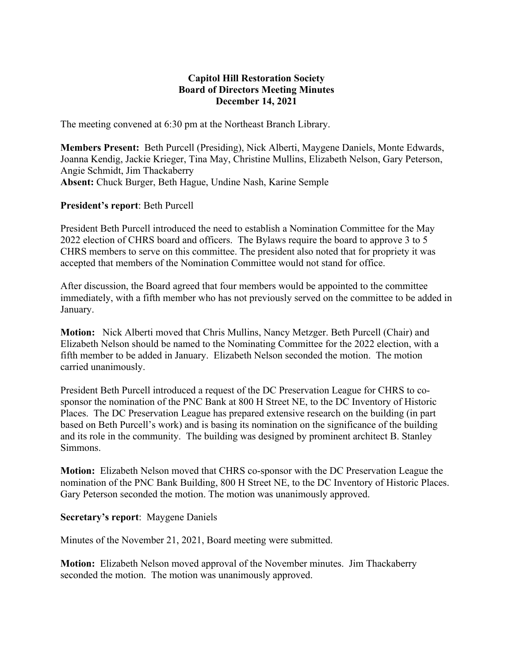# **Capitol Hill Restoration Society Board of Directors Meeting Minutes December 14, 2021**

The meeting convened at 6:30 pm at the Northeast Branch Library.

**Members Present:** Beth Purcell (Presiding), Nick Alberti, Maygene Daniels, Monte Edwards, Joanna Kendig, Jackie Krieger, Tina May, Christine Mullins, Elizabeth Nelson, Gary Peterson, Angie Schmidt, Jim Thackaberry **Absent:** Chuck Burger, Beth Hague, Undine Nash, Karine Semple

### **President's report**: Beth Purcell

President Beth Purcell introduced the need to establish a Nomination Committee for the May 2022 election of CHRS board and officers. The Bylaws require the board to approve 3 to 5 CHRS members to serve on this committee. The president also noted that for propriety it was accepted that members of the Nomination Committee would not stand for office.

After discussion, the Board agreed that four members would be appointed to the committee immediately, with a fifth member who has not previously served on the committee to be added in January.

**Motion:** Nick Alberti moved that Chris Mullins, Nancy Metzger. Beth Purcell (Chair) and Elizabeth Nelson should be named to the Nominating Committee for the 2022 election, with a fifth member to be added in January. Elizabeth Nelson seconded the motion. The motion carried unanimously.

President Beth Purcell introduced a request of the DC Preservation League for CHRS to cosponsor the nomination of the PNC Bank at 800 H Street NE, to the DC Inventory of Historic Places. The DC Preservation League has prepared extensive research on the building (in part based on Beth Purcell's work) and is basing its nomination on the significance of the building and its role in the community. The building was designed by prominent architect B. Stanley Simmons.

**Motion:** Elizabeth Nelson moved that CHRS co-sponsor with the DC Preservation League the nomination of the PNC Bank Building, 800 H Street NE, to the DC Inventory of Historic Places. Gary Peterson seconded the motion. The motion was unanimously approved.

#### **Secretary's report**: Maygene Daniels

Minutes of the November 21, 2021, Board meeting were submitted.

**Motion:** Elizabeth Nelson moved approval of the November minutes. Jim Thackaberry seconded the motion. The motion was unanimously approved.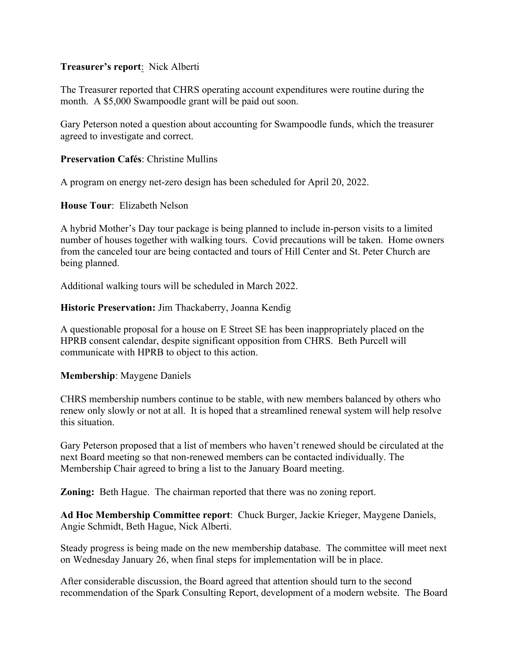### **Treasurer's report**: Nick Alberti

The Treasurer reported that CHRS operating account expenditures were routine during the month. A \$5,000 Swampoodle grant will be paid out soon.

Gary Peterson noted a question about accounting for Swampoodle funds, which the treasurer agreed to investigate and correct.

# **Preservation Cafés**: Christine Mullins

A program on energy net-zero design has been scheduled for April 20, 2022.

**House Tour**: Elizabeth Nelson

A hybrid Mother's Day tour package is being planned to include in-person visits to a limited number of houses together with walking tours. Covid precautions will be taken. Home owners from the canceled tour are being contacted and tours of Hill Center and St. Peter Church are being planned.

Additional walking tours will be scheduled in March 2022.

### **Historic Preservation:** Jim Thackaberry, Joanna Kendig

A questionable proposal for a house on E Street SE has been inappropriately placed on the HPRB consent calendar, despite significant opposition from CHRS. Beth Purcell will communicate with HPRB to object to this action.

**Membership**: Maygene Daniels

CHRS membership numbers continue to be stable, with new members balanced by others who renew only slowly or not at all. It is hoped that a streamlined renewal system will help resolve this situation.

Gary Peterson proposed that a list of members who haven't renewed should be circulated at the next Board meeting so that non-renewed members can be contacted individually. The Membership Chair agreed to bring a list to the January Board meeting.

**Zoning:** Beth Hague. The chairman reported that there was no zoning report.

**Ad Hoc Membership Committee report**: Chuck Burger, Jackie Krieger, Maygene Daniels, Angie Schmidt, Beth Hague, Nick Alberti.

Steady progress is being made on the new membership database. The committee will meet next on Wednesday January 26, when final steps for implementation will be in place.

After considerable discussion, the Board agreed that attention should turn to the second recommendation of the Spark Consulting Report, development of a modern website. The Board